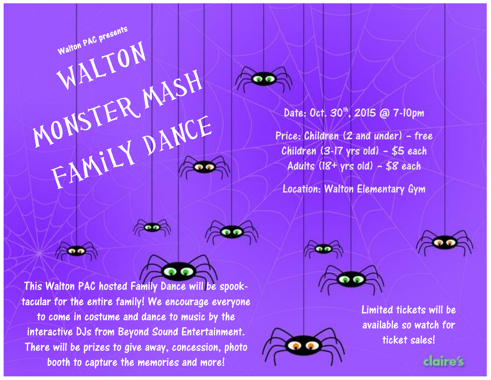Date: Oct. 30<sup>th</sup>, 2015 @ 7-10pm

Price: Children (2 and under) – free Children (3-17 yrs old) – \$5 each Adults  $(18+$  yrs old) - \$8 each

Location: Walton Elementary Gym





This Walton PAC hosted Family Dance will be spooktacular for the entire family! We encourage everyone to come in costume and dance to music by the interactive DJs from Beyond Sound Entertainment. There will be prizes to give away, concession, photo booth to capture the memories and more!

Walton PAC presents

INTON

MALTON<br>MONSTER MASH



Limited tickets will be available so watch for ticket sales!